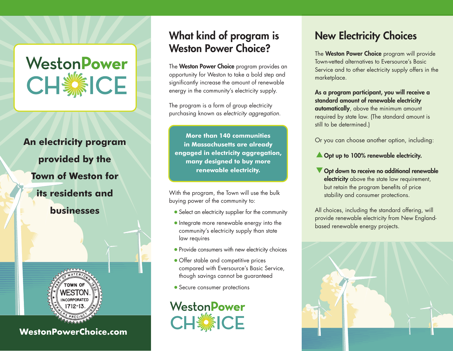# WestonPower

### **An electricity program provided by the Town of Weston for its residents and businesses**



**WestonPowerChoice.com**

### What kind of program is Weston Power Choice?

The Weston Power Choice program provides an opportunity for Weston to take a bold step and significantly increase the amount of renewable energy in the community's electricity supply.

The program is a form of group electricity purchasing known as *electricity aggregation*.

**More than 140 communities in Massachusetts are already engaged in electricity aggregation, many designed to buy more renewable electricity.**

With the program, the Town will use the bulk buying power of the community to:

- Select an electricity supplier for the community
- Integrate more renewable energy into the community's electricity supply than state law requires
- Provide consumers with new electricity choices
- Offer stable and competitive prices compared with Eversource's Basic Service, though savings cannot be guaranteed
- Secure consumer protections



### New Electricity Choices

The Weston Power Choice program will provide Town-vetted alternatives to Eversource's Basic Service and to other electricity supply offers in the marketplace.

As a program participant, you will receive a standard amount of renewable electricity automatically, above the minimum amount required by state law. (The standard amount is still to be determined.)

Or you can choose another option, including:

- **A** Opt up to 100% renewable electricity.
- Opt down to receive no additional renewable electricity above the state law requirement, but retain the program benefits of price stability and consumer protections.

All choices, including the standard offering, will provide renewable electricity from New Englandbased renewable energy projects.